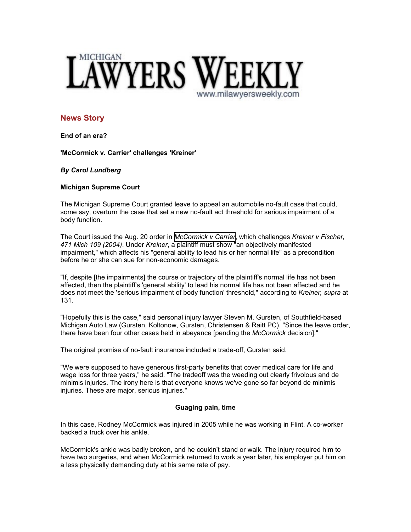

# **News Story**

**End of an era?**

**'McCormick v. Carrier' challenges 'Kreiner'**

## *By Carol Lundberg*

## **Michigan Supreme Court**

The Michigan Supreme Court granted leave to appeal an automobile no-fault case that could, some say, overturn the case that set a new no-fault act threshold for serious impairment of a body function.

The Court issued the Aug. 20 order in *[McCormick v Carrier](http://www.michiganautolaw.com/caraccidents/auto-law/index.php)*, which challenges *Kreiner v Fischer, 471 Mich 109 (2004)*. Under *Kreiner*, a plaintiff must show "an objectively manifested impairment," which affects his "general ability to lead his or her normal life" as a precondition before he or she can sue for non-economic damages.

"If, despite [the impairments] the course or trajectory of the plaintiff's normal life has not been affected, then the plaintiff's 'general ability' to lead his normal life has not been affected and he does not meet the 'serious impairment of body function' threshold," according to *Kreiner, supra* at 131.

"Hopefully this is the case," said personal injury lawyer Steven M. Gursten, of Southfield-based Michigan Auto Law (Gursten, Koltonow, Gursten, Christensen & Raitt PC). "Since the leave order, there have been four other cases held in abeyance [pending the *McCormick* decision]."

The original promise of no-fault insurance included a trade-off, Gursten said.

"We were supposed to have generous first-party benefits that cover medical care for life and wage loss for three years," he said. "The tradeoff was the weeding out clearly frivolous and de minimis injuries. The irony here is that everyone knows we've gone so far beyond de minimis injuries. These are major, serious injuries."

### **Guaging pain, time**

In this case, Rodney McCormick was injured in 2005 while he was working in Flint. A co-worker backed a truck over his ankle.

McCormick's ankle was badly broken, and he couldn't stand or walk. The injury required him to have two surgeries, and when McCormick returned to work a year later, his employer put him on a less physically demanding duty at his same rate of pay.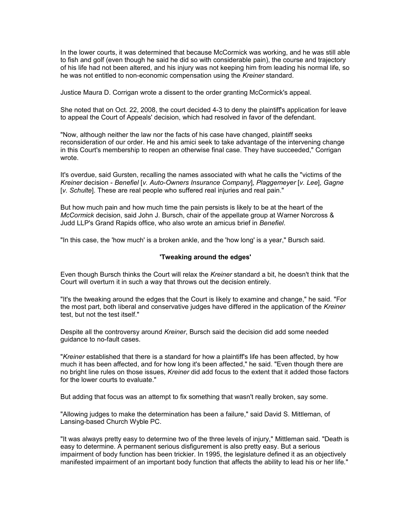In the lower courts, it was determined that because McCormick was working, and he was still able to fish and golf (even though he said he did so with considerable pain), the course and trajectory of his life had not been altered, and his injury was not keeping him from leading his normal life, so he was not entitled to non-economic compensation using the *Kreiner* standard.

Justice Maura D. Corrigan wrote a dissent to the order granting McCormick's appeal.

She noted that on Oct. 22, 2008, the court decided 4-3 to deny the plaintiff's application for leave to appeal the Court of Appeals' decision, which had resolved in favor of the defendant.

"Now, although neither the law nor the facts of his case have changed, plaintiff seeks reconsideration of our order. He and his amici seek to take advantage of the intervening change in this Court's membership to reopen an otherwise final case. They have succeeded," Corrigan wrote.

It's overdue, said Gursten, recalling the names associated with what he calls the "victims of the *Kreiner* decision - *Benefiel* [*v. Auto-Owners Insurance Company*], *Plaggemeyer* [*v. Lee*], *Gagne* [*v. Schulte*]. These are real people who suffered real injuries and real pain."

But how much pain and how much time the pain persists is likely to be at the heart of the *McCormick* decision, said John J. Bursch, chair of the appellate group at Warner Norcross & Judd LLP's Grand Rapids office, who also wrote an amicus brief in *Benefiel*.

"In this case, the 'how much' is a broken ankle, and the 'how long' is a year," Bursch said.

#### **'Tweaking around the edges'**

Even though Bursch thinks the Court will relax the *Kreiner* standard a bit, he doesn't think that the Court will overturn it in such a way that throws out the decision entirely.

"It's the tweaking around the edges that the Court is likely to examine and change," he said. "For the most part, both liberal and conservative judges have differed in the application of the *Kreiner* test, but not the test itself."

Despite all the controversy around *Kreiner*, Bursch said the decision did add some needed guidance to no-fault cases.

"*Kreiner* established that there is a standard for how a plaintiff's life has been affected, by how much it has been affected, and for how long it's been affected," he said. "Even though there are no bright line rules on those issues, *Kreiner* did add focus to the extent that it added those factors for the lower courts to evaluate."

But adding that focus was an attempt to fix something that wasn't really broken, say some.

"Allowing judges to make the determination has been a failure," said David S. Mittleman, of Lansing-based Church Wyble PC.

"It was always pretty easy to determine two of the three levels of injury," Mittleman said. "Death is easy to determine. A permanent serious disfigurement is also pretty easy. But a serious impairment of body function has been trickier. In 1995, the legislature defined it as an objectively manifested impairment of an important body function that affects the ability to lead his or her life."